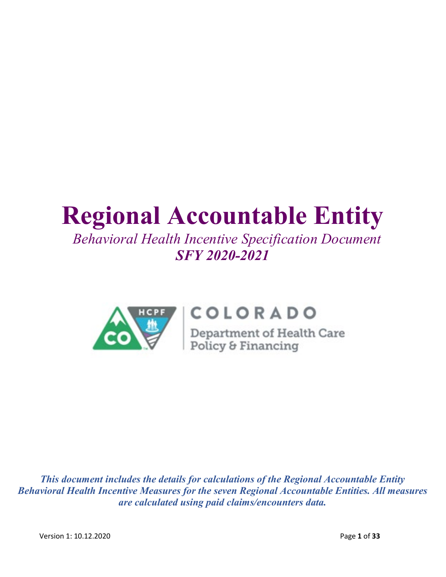# **Regional Accountable Entity**

# *Behavioral Health Incentive Specification Document SFY 2020-2021*



# COLORADO

**COLORADO**<br>Department of Health Care<br>Policy & Financing

*This document includes the details for calculations of the Regional Accountable Entity Behavioral Health Incentive Measures for the seven Regional Accountable Entities. All measures are calculated using paid claims/encounters data.*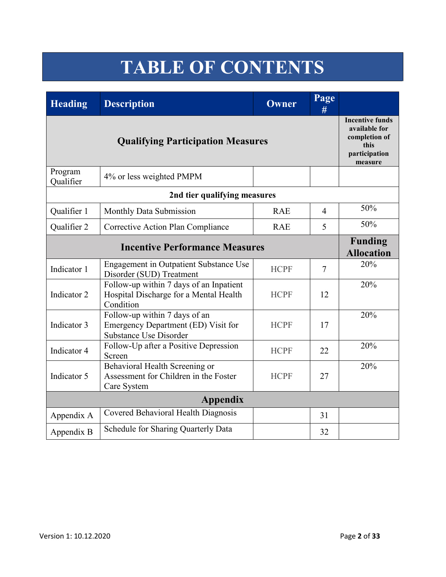# **TABLE OF CONTENTS**

| <b>Heading</b>       | <b>Description</b>                                                                             | Owner       | Page<br>#      |     |
|----------------------|------------------------------------------------------------------------------------------------|-------------|----------------|-----|
|                      | <b>Incentive funds</b><br>available for<br>completion of<br>this<br>participation<br>measure   |             |                |     |
| Program<br>Qualifier | 4% or less weighted PMPM                                                                       |             |                |     |
|                      | 2nd tier qualifying measures                                                                   |             |                |     |
| Qualifier 1          | Monthly Data Submission                                                                        | <b>RAE</b>  | $\overline{4}$ | 50% |
| Qualifier 2          | Corrective Action Plan Compliance                                                              | <b>RAE</b>  | 5              | 50% |
|                      | <b>Funding</b><br><b>Allocation</b>                                                            |             |                |     |
| Indicator 1          | <b>Engagement in Outpatient Substance Use</b><br>Disorder (SUD) Treatment                      | <b>HCPF</b> | $\overline{7}$ | 20% |
| Indicator 2          | Follow-up within 7 days of an Inpatient<br>Hospital Discharge for a Mental Health<br>Condition | <b>HCPF</b> | 12             | 20% |
| Indicator 3          | Follow-up within 7 days of an<br>Emergency Department (ED) Visit for<br>Substance Use Disorder | <b>HCPF</b> | 17             | 20% |
| Indicator 4          | Follow-Up after a Positive Depression<br>Screen                                                | <b>HCPF</b> | 22             | 20% |
| Indicator 5          | Behavioral Health Screening or<br>Assessment for Children in the Foster<br>Care System         | <b>HCPF</b> | 27             | 20% |
|                      | <b>Appendix</b>                                                                                |             |                |     |
| Appendix A           | Covered Behavioral Health Diagnosis                                                            |             | 31             |     |
| Appendix B           | Schedule for Sharing Quarterly Data                                                            |             | 32             |     |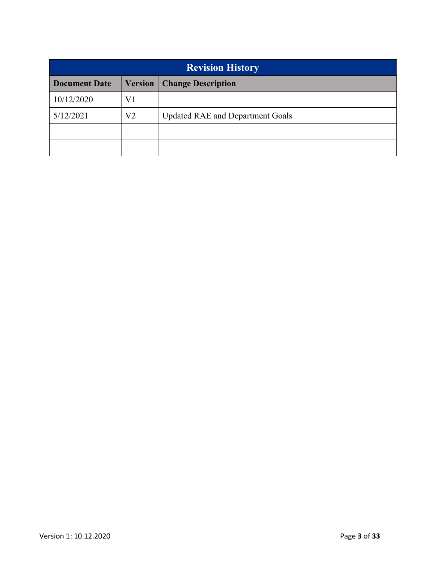| <b>Revision History</b> |                |                                         |  |  |  |  |
|-------------------------|----------------|-----------------------------------------|--|--|--|--|
| <b>Document Date</b>    | <b>Version</b> | <b>Change Description</b>               |  |  |  |  |
| 10/12/2020              | V1             |                                         |  |  |  |  |
| 5/12/2021               | V2             | <b>Updated RAE and Department Goals</b> |  |  |  |  |
|                         |                |                                         |  |  |  |  |
|                         |                |                                         |  |  |  |  |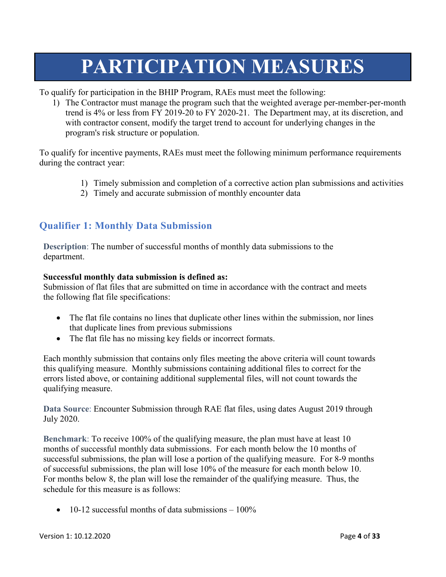# **PARTICIPATION MEASURES**

To qualify for participation in the BHIP Program, RAEs must meet the following:

1) The Contractor must manage the program such that the weighted average per-member-per-month trend is 4% or less from FY 2019-20 to FY 2020-21. The Department may, at its discretion, and with contractor consent, modify the target trend to account for underlying changes in the program's risk structure or population.

To qualify for incentive payments, RAEs must meet the following minimum performance requirements during the contract year:

- 1) Timely submission and completion of a corrective action plan submissions and activities
- 2) Timely and accurate submission of monthly encounter data

## **Qualifier 1: Monthly Data Submission**

**Description**: The number of successful months of monthly data submissions to the department.

#### **Successful monthly data submission is defined as:**

Submission of flat files that are submitted on time in accordance with the contract and meets the following flat file specifications:

- The flat file contains no lines that duplicate other lines within the submission, nor lines that duplicate lines from previous submissions
- The flat file has no missing key fields or incorrect formats.

Each monthly submission that contains only files meeting the above criteria will count towards this qualifying measure. Monthly submissions containing additional files to correct for the errors listed above, or containing additional supplemental files, will not count towards the qualifying measure.

**Data Source**: Encounter Submission through RAE flat files, using dates August 2019 through July 2020.

**Benchmark**: To receive 100% of the qualifying measure, the plan must have at least 10 months of successful monthly data submissions. For each month below the 10 months of successful submissions, the plan will lose a portion of the qualifying measure. For 8-9 months of successful submissions, the plan will lose 10% of the measure for each month below 10. For months below 8, the plan will lose the remainder of the qualifying measure. Thus, the schedule for this measure is as follows:

• 10-12 successful months of data submissions  $-100\%$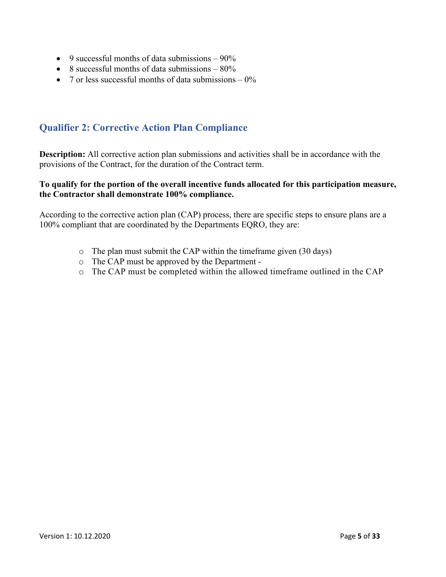- 9 successful months of data submissions  $-90\%$
- 8 successful months of data submissions  $-80\%$
- 7 or less successful months of data submissions  $-0\%$

## **Qualifier 2: Corrective Action Plan Compliance**

**Description:** All corrective action plan submissions and activities shall be in accordance with the provisions of the Contract, for the duration of the Contract term.

#### **To qualify for the portion of the overall incentive funds allocated for this participation measure, the Contractor shall demonstrate 100% compliance.**

According to the corrective action plan (CAP) process, there are specific steps to ensure plans are a 100% compliant that are coordinated by the Departments EQRO, they are:

- o The plan must submit the CAP within the timeframe given (30 days)
- o The CAP must be approved by the Department -
- o The CAP must be completed within the allowed timeframe outlined in the CAP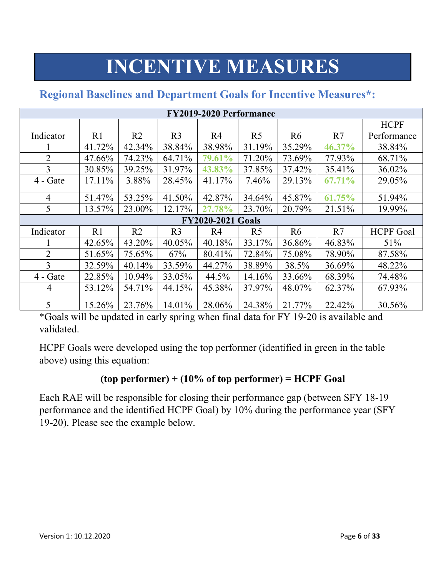# **INCENTIVE MEASURES**

| <b>FY2019-2020 Performance</b> |         |                |                |                          |                |                |        |                  |  |
|--------------------------------|---------|----------------|----------------|--------------------------|----------------|----------------|--------|------------------|--|
|                                |         |                |                |                          |                |                |        | <b>HCPF</b>      |  |
| Indicator                      | R1      | R <sub>2</sub> | R <sub>3</sub> | R <sub>4</sub>           | R <sub>5</sub> | R <sub>6</sub> | R7     | Performance      |  |
|                                | 41.72%  | 42.34%         | 38.84%         | 38.98%                   | 31.19%         | 35.29%         | 46.37% | 38.84%           |  |
| $\overline{2}$                 | 47.66%  | 74.23%         | 64.71%         | 79.61%                   | 71.20%         | 73.69%         | 77.93% | 68.71%           |  |
| 3                              | 30.85%  | 39.25%         | 31.97%         | 43.83%                   | 37.85%         | 37.42%         | 35.41% | 36.02%           |  |
| $4 - Gate$                     | 17.11\% | 3.88%          | 28.45%         | 41.17%                   | 7.46%          | 29.13%         | 67.71% | 29.05%           |  |
| $\overline{4}$                 | 51.47%  | 53.25%         | 41.50%         | 42.87%                   | 34.64%         | 45.87%         | 61.75% | 51.94%           |  |
| 5                              | 13.57%  | 23.00%         | 12.17%         | 27.78%                   | 23.70%         | 20.79%         | 21.51% | 19.99%           |  |
|                                |         |                |                | <b>FY2020-2021 Goals</b> |                |                |        |                  |  |
| Indicator                      | R1      | R <sub>2</sub> | R <sub>3</sub> | R <sub>4</sub>           | R <sub>5</sub> | R <sub>6</sub> | R7     | <b>HCPF</b> Goal |  |
|                                | 42.65%  | 43.20%         | 40.05%         | 40.18%                   | 33.17%         | 36.86%         | 46.83% | 51%              |  |
| $\overline{2}$                 | 51.65%  | 75.65%         | 67%            | 80.41%                   | 72.84%         | 75.08%         | 78.90% | 87.58%           |  |
| 3                              | 32.59%  | 40.14%         | 33.59%         | 44.27%                   | 38.89%         | 38.5%          | 36.69% | 48.22%           |  |
| $4 - Gate$                     | 22.85%  | 10.94%         | 33.05%         | 44.5%                    | 14.16%         | 33.66%         | 68.39% | 74.48%           |  |
| 4                              | 53.12%  | 54.71%         | 44.15%         | 45.38%                   | 37.97%         | 48.07%         | 62.37% | 67.93%           |  |
| 5                              | 15.26%  | 23.76%         | 14.01%         | 28.06%                   | 24.38%         | 21.77%         | 22.42% | 30.56%           |  |

# **Regional Baselines and Department Goals for Incentive Measures\*:**

\*Goals will be updated in early spring when final data for FY 19-20 is available and validated.

HCPF Goals were developed using the top performer (identified in green in the table above) using this equation:

## **(top performer) + (10% of top performer) = HCPF Goal**

Each RAE will be responsible for closing their performance gap (between SFY 18-19 performance and the identified HCPF Goal) by 10% during the performance year (SFY 19-20). Please see the example below.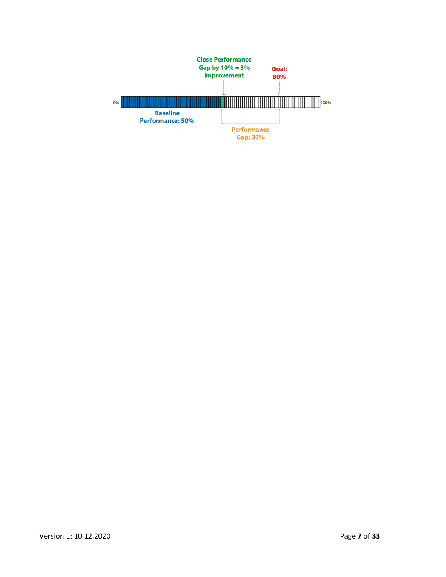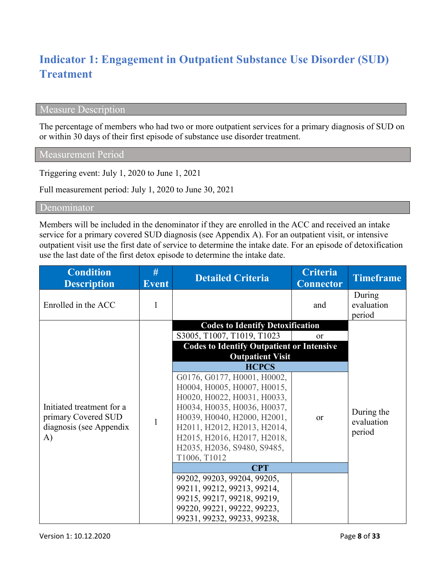# **Indicator 1: Engagement in Outpatient Substance Use Disorder (SUD) Treatment**

### Measure Description

The percentage of members who had two or more outpatient services for a primary diagnosis of SUD on or within 30 days of their first episode of substance use disorder treatment.

Measurement Period

Triggering event: July 1, 2020 to June 1, 2021

Full measurement period: July 1, 2020 to June 30, 2021

Denominator

Members will be included in the denominator if they are enrolled in the ACC and received an intake service for a primary covered SUD diagnosis (see Appendix A). For an outpatient visit, or intensive outpatient visit use the first date of service to determine the intake date. For an episode of detoxification use the last date of the first detox episode to determine the intake date.

| <b>Condition</b><br><b>Description</b>                                            | #<br><b>Event</b> | <b>Detailed Criteria</b>                                                                                                                                                                                                                                             | <b>Criteria</b><br><b>Connector</b> | <b>Timeframe</b>                   |
|-----------------------------------------------------------------------------------|-------------------|----------------------------------------------------------------------------------------------------------------------------------------------------------------------------------------------------------------------------------------------------------------------|-------------------------------------|------------------------------------|
| Enrolled in the ACC                                                               | 1                 |                                                                                                                                                                                                                                                                      | and                                 | During<br>evaluation<br>period     |
|                                                                                   |                   | <b>Codes to Identify Detoxification</b>                                                                                                                                                                                                                              |                                     |                                    |
|                                                                                   |                   | S3005, T1007, T1019, T1023                                                                                                                                                                                                                                           | or                                  |                                    |
|                                                                                   |                   | <b>Codes to Identify Outpatient or Intensive</b><br><b>Outpatient Visit</b>                                                                                                                                                                                          |                                     |                                    |
|                                                                                   |                   | <b>HCPCS</b>                                                                                                                                                                                                                                                         |                                     |                                    |
| Initiated treatment for a<br>primary Covered SUD<br>diagnosis (see Appendix<br>A) | $\mathbf{1}$      | G0176, G0177, H0001, H0002,<br>H0004, H0005, H0007, H0015,<br>H0020, H0022, H0031, H0033,<br>H0034, H0035, H0036, H0037,<br>H0039, H0040, H2000, H2001,<br>H2011, H2012, H2013, H2014,<br>H2015, H2016, H2017, H2018,<br>H2035, H2036, S9480, S9485,<br>T1006, T1012 | <b>or</b>                           | During the<br>evaluation<br>period |
|                                                                                   |                   | <b>CPT</b>                                                                                                                                                                                                                                                           |                                     |                                    |
|                                                                                   |                   | 99202, 99203, 99204, 99205,                                                                                                                                                                                                                                          |                                     |                                    |
|                                                                                   |                   | 99211, 99212, 99213, 99214,                                                                                                                                                                                                                                          |                                     |                                    |
|                                                                                   |                   | 99215, 99217, 99218, 99219,                                                                                                                                                                                                                                          |                                     |                                    |
|                                                                                   |                   | 99220, 99221, 99222, 99223,<br>99231, 99232, 99233, 99238,                                                                                                                                                                                                           |                                     |                                    |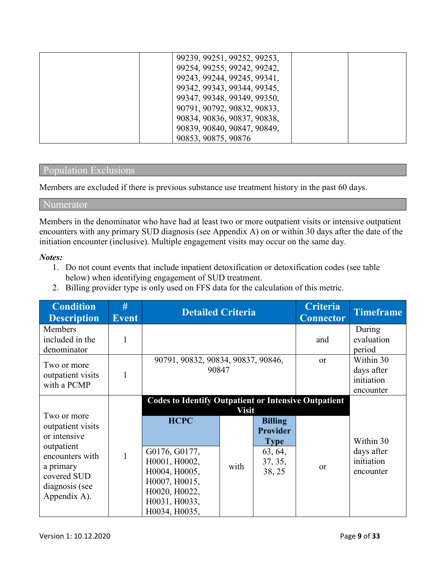| 99239, 99251, 99252, 99253, |  |
|-----------------------------|--|
| 99254, 99255, 99242, 99242, |  |
| 99243, 99244, 99245, 99341, |  |
| 99342, 99343, 99344, 99345, |  |
| 99347, 99348, 99349, 99350, |  |
| 90791, 90792, 90832, 90833, |  |
| 90834, 90836, 90837, 90838, |  |
| 90839, 90840, 90847, 90849, |  |
| 90853, 90875, 90876         |  |

#### Population Exclusions

Members are excluded if there is previous substance use treatment history in the past 60 days.

#### Numerator

Members in the denominator who have had at least two or more outpatient visits or intensive outpatient encounters with any primary SUD diagnosis (see Appendix A) on or within 30 days after the date of the initiation encounter (inclusive). Multiple engagement visits may occur on the same day.

#### *Notes:*

- 1. Do not count events that include inpatient detoxification or detoxification codes (see table below) when identifying engagement of SUD treatment.
- 2. Billing provider type is only used on FFS data for the calculation of this metric.

| <b>Condition</b><br><b>Description</b>                                                                                                          | #<br><b>Event</b> | <b>Detailed Criteria</b>                                                                                                                                                         |                      |                                                                                  | <b>Criteria</b><br><b>Connector</b> | <b>Timeframe</b>                                   |
|-------------------------------------------------------------------------------------------------------------------------------------------------|-------------------|----------------------------------------------------------------------------------------------------------------------------------------------------------------------------------|----------------------|----------------------------------------------------------------------------------|-------------------------------------|----------------------------------------------------|
| <b>Members</b><br>included in the<br>denominator                                                                                                |                   |                                                                                                                                                                                  |                      |                                                                                  | and                                 | During<br>evaluation<br>period                     |
| Two or more<br>outpatient visits<br>with a PCMP                                                                                                 |                   | 90791, 90832, 90834, 90837, 90846,<br>90847                                                                                                                                      |                      |                                                                                  | <b>or</b>                           | Within 30<br>days after<br>initiation<br>encounter |
| Two or more<br>outpatient visits<br>or intensive<br>outpatient<br>encounters with<br>a primary<br>covered SUD<br>diagnosis (see<br>Appendix A). |                   | <b>Codes to Identify Outpatient or Intensive Outpatient</b><br><b>HCPC</b><br>G0176, G0177,<br>H0001, H0002,<br>H0004, H0005,<br>H0007, H0015,<br>H0020, H0022,<br>H0031, H0033, | <b>Visit</b><br>with | <b>Billing</b><br><b>Provider</b><br><b>Type</b><br>63, 64,<br>37, 35,<br>38, 25 | <sub>or</sub>                       | Within 30<br>days after<br>initiation<br>encounter |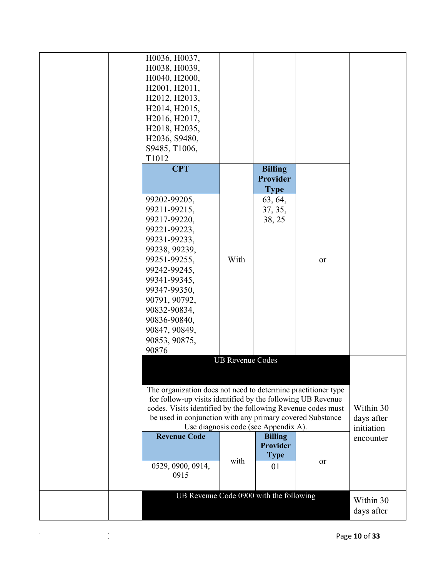|  | H0036, H0037,                                                 |                         |                                      |    |            |
|--|---------------------------------------------------------------|-------------------------|--------------------------------------|----|------------|
|  | H0038, H0039,                                                 |                         |                                      |    |            |
|  | H0040, H2000,                                                 |                         |                                      |    |            |
|  | H2001, H2011,                                                 |                         |                                      |    |            |
|  | H2012, H2013,                                                 |                         |                                      |    |            |
|  | H2014, H2015,                                                 |                         |                                      |    |            |
|  | H2016, H2017,                                                 |                         |                                      |    |            |
|  | H2018, H2035,                                                 |                         |                                      |    |            |
|  | H2036, S9480,                                                 |                         |                                      |    |            |
|  | S9485, T1006,                                                 |                         |                                      |    |            |
|  | T1012                                                         |                         |                                      |    |            |
|  | <b>CPT</b>                                                    |                         | <b>Billing</b>                       |    |            |
|  |                                                               |                         | <b>Provider</b>                      |    |            |
|  |                                                               |                         | <b>Type</b>                          |    |            |
|  | 99202-99205,                                                  |                         | 63, 64,                              |    |            |
|  | 99211-99215,                                                  |                         | 37, 35,                              |    |            |
|  | 99217-99220,                                                  |                         | 38, 25                               |    |            |
|  | 99221-99223,                                                  |                         |                                      |    |            |
|  | 99231-99233,                                                  |                         |                                      |    |            |
|  | 99238, 99239,                                                 |                         |                                      |    |            |
|  | 99251-99255,                                                  | With                    |                                      | or |            |
|  | 99242-99245,                                                  |                         |                                      |    |            |
|  | 99341-99345,                                                  |                         |                                      |    |            |
|  | 99347-99350,                                                  |                         |                                      |    |            |
|  | 90791, 90792,                                                 |                         |                                      |    |            |
|  | 90832-90834,                                                  |                         |                                      |    |            |
|  | 90836-90840,                                                  |                         |                                      |    |            |
|  | 90847, 90849,                                                 |                         |                                      |    |            |
|  | 90853, 90875,                                                 |                         |                                      |    |            |
|  | 90876                                                         |                         |                                      |    |            |
|  |                                                               | <b>UB Revenue Codes</b> |                                      |    |            |
|  |                                                               |                         |                                      |    |            |
|  |                                                               |                         |                                      |    |            |
|  | The organization does not need to determine practitioner type |                         |                                      |    |            |
|  | for follow-up visits identified by the following UB Revenue   |                         |                                      |    |            |
|  | codes. Visits identified by the following Revenue codes must  |                         |                                      |    | Within 30  |
|  | be used in conjunction with any primary covered Substance     |                         |                                      |    | days after |
|  |                                                               |                         | Use diagnosis code (see Appendix A). |    | initiation |
|  | <b>Revenue Code</b>                                           |                         | <b>Billing</b>                       |    | encounter  |
|  |                                                               |                         | <b>Provider</b>                      |    |            |
|  |                                                               | with                    | <b>Type</b>                          |    |            |
|  | 0529, 0900, 0914,                                             |                         | 01                                   | or |            |
|  | 0915                                                          |                         |                                      |    |            |
|  |                                                               |                         |                                      |    |            |
|  | UB Revenue Code 0900 with the following                       |                         |                                      |    | Within 30  |
|  |                                                               |                         |                                      |    | days after |
|  |                                                               |                         |                                      |    |            |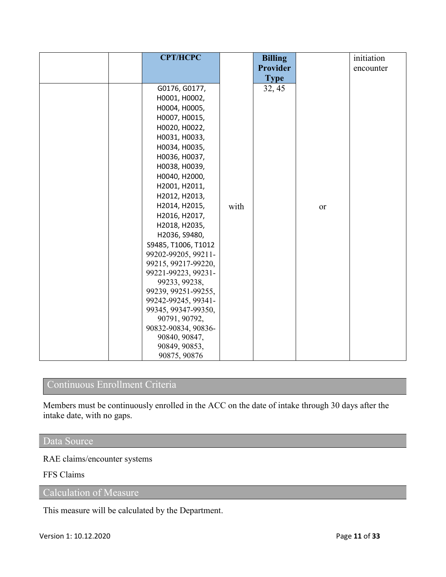| <b>CPT/HCPC</b>                |      | <b>Billing</b>  |    | initiation |
|--------------------------------|------|-----------------|----|------------|
|                                |      | <b>Provider</b> |    | encounter  |
|                                |      | <b>Type</b>     |    |            |
| G0176, G0177,                  |      | 32, 45          |    |            |
| H0001, H0002,                  |      |                 |    |            |
| H0004, H0005,                  |      |                 |    |            |
| H0007, H0015,                  |      |                 |    |            |
| H0020, H0022,                  |      |                 |    |            |
| H0031, H0033,                  |      |                 |    |            |
| H0034, H0035,                  |      |                 |    |            |
| H0036, H0037,                  |      |                 |    |            |
| H0038, H0039,                  |      |                 |    |            |
| H0040, H2000,                  |      |                 |    |            |
| H2001, H2011,                  |      |                 |    |            |
| H2012, H2013,                  |      |                 |    |            |
| H2014, H2015,                  | with |                 | or |            |
| H2016, H2017,                  |      |                 |    |            |
| H2018, H2035,                  |      |                 |    |            |
| H2036, S9480,                  |      |                 |    |            |
| S9485, T1006, T1012            |      |                 |    |            |
| 99202-99205, 99211-            |      |                 |    |            |
| 99215, 99217-99220,            |      |                 |    |            |
| 99221-99223, 99231-            |      |                 |    |            |
| 99233, 99238,                  |      |                 |    |            |
| 99239, 99251-99255,            |      |                 |    |            |
| 99242-99245, 99341-            |      |                 |    |            |
| 99345, 99347-99350,            |      |                 |    |            |
| 90791, 90792,                  |      |                 |    |            |
| 90832-90834, 90836-            |      |                 |    |            |
| 90840, 90847,<br>90849, 90853, |      |                 |    |            |
| 90875, 90876                   |      |                 |    |            |

# Continuous Enrollment Criteria

Members must be continuously enrolled in the ACC on the date of intake through 30 days after the intake date, with no gaps.

### Data Source

RAE claims/encounter systems

FFS Claims

Calculation of Measure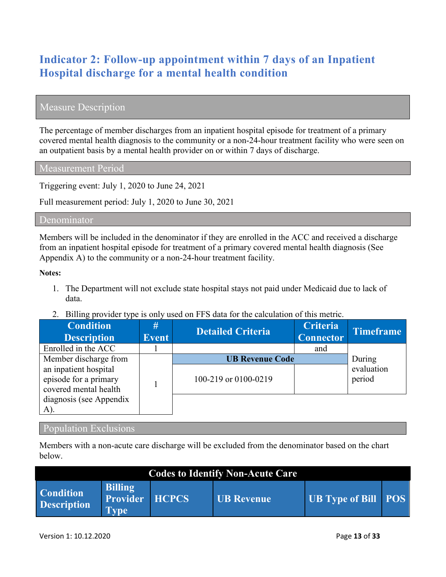# **Indicator 2: Follow-up appointment within 7 days of an Inpatient Hospital discharge for a mental health condition**

## Measure Description

The percentage of member discharges from an inpatient hospital episode for treatment of a primary covered mental health diagnosis to the community or a non-24-hour treatment facility who were seen on an outpatient basis by a mental health provider on or within 7 days of discharge.

Measurement Period

Triggering event: July 1, 2020 to June 24, 2021

Full measurement period: July 1, 2020 to June 30, 2021

#### Denominator

Members will be included in the denominator if they are enrolled in the ACC and received a discharge from an inpatient hospital episode for treatment of a primary covered mental health diagnosis (See Appendix A) to the community or a non-24-hour treatment facility.

#### **Notes:**

- 1. The Department will not exclude state hospital stays not paid under Medicaid due to lack of data.
- 2. Billing provider type is only used on FFS data for the calculation of this metric.

| <b>Condition</b><br><b>Description</b>                                  | #<br><b>Event</b> | <b>Detailed Criteria</b>                       | <b>Criteria</b><br><b>Connector</b> | <b>Timeframe</b>               |
|-------------------------------------------------------------------------|-------------------|------------------------------------------------|-------------------------------------|--------------------------------|
| Enrolled in the ACC                                                     |                   |                                                | and                                 |                                |
| Member discharge from<br>an inpatient hospital<br>episode for a primary |                   | <b>UB Revenue Code</b><br>100-219 or 0100-0219 |                                     | During<br>evaluation<br>period |
| covered mental health<br>diagnosis (see Appendix<br>A).                 |                   |                                                |                                     |                                |

#### Population Exclusions

Members with a non-acute care discharge will be excluded from the denominator based on the chart below.

| <b>Codes to Identify Non-Acute Care</b> |                                                  |              |                   |                            |  |  |  |  |
|-----------------------------------------|--------------------------------------------------|--------------|-------------------|----------------------------|--|--|--|--|
| <b>Condition</b><br><b>Description</b>  | <b>Billing</b><br><b>Provider</b><br><b>Type</b> | <b>HCPCS</b> | <b>UB Revenue</b> | <b>UB Type of Bill POS</b> |  |  |  |  |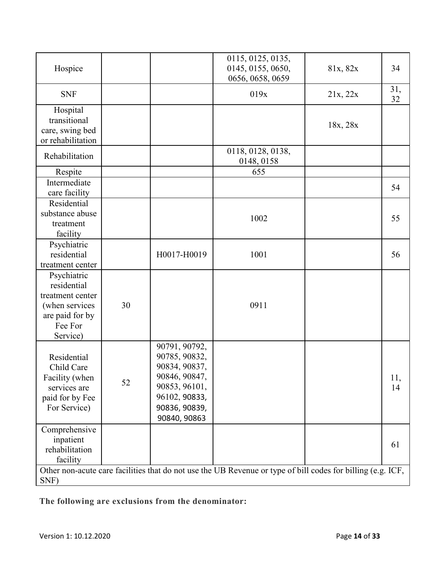| Hospice                                                                                                    |    |                                                                                                                                     | 0115, 0125, 0135,<br>0145, 0155, 0650,<br>0656, 0658, 0659                                                  | 81x, 82x | 34        |
|------------------------------------------------------------------------------------------------------------|----|-------------------------------------------------------------------------------------------------------------------------------------|-------------------------------------------------------------------------------------------------------------|----------|-----------|
| <b>SNF</b>                                                                                                 |    |                                                                                                                                     | 019x                                                                                                        | 21x, 22x | 31,<br>32 |
| Hospital<br>transitional<br>care, swing bed<br>or rehabilitation                                           |    |                                                                                                                                     |                                                                                                             | 18x, 28x |           |
| Rehabilitation                                                                                             |    |                                                                                                                                     | 0118, 0128, 0138,<br>0148, 0158                                                                             |          |           |
| Respite                                                                                                    |    |                                                                                                                                     | 655                                                                                                         |          |           |
| Intermediate<br>care facility                                                                              |    |                                                                                                                                     |                                                                                                             |          | 54        |
| Residential<br>substance abuse<br>treatment<br>facility                                                    |    |                                                                                                                                     | 1002                                                                                                        |          | 55        |
| Psychiatric<br>residential<br>treatment center                                                             |    | H0017-H0019                                                                                                                         | 1001                                                                                                        |          | 56        |
| Psychiatric<br>residential<br>treatment center<br>(when services<br>are paid for by<br>Fee For<br>Service) | 30 |                                                                                                                                     | 0911                                                                                                        |          |           |
| Residential<br>Child Care<br>Facility (when<br>services are<br>paid for by Fee<br>For Service)             | 52 | 90791, 90792,<br>90785, 90832,<br>90834, 90837,<br>90846, 90847,<br>90853, 96101,<br>96102, 90833,<br>90836, 90839,<br>90840, 90863 |                                                                                                             |          | 11,<br>14 |
| Comprehensive<br>inpatient<br>rehabilitation<br>facility                                                   |    |                                                                                                                                     |                                                                                                             |          | 61        |
| SNF)                                                                                                       |    |                                                                                                                                     | Other non-acute care facilities that do not use the UB Revenue or type of bill codes for billing (e.g. ICF, |          |           |

**The following are exclusions from the denominator:**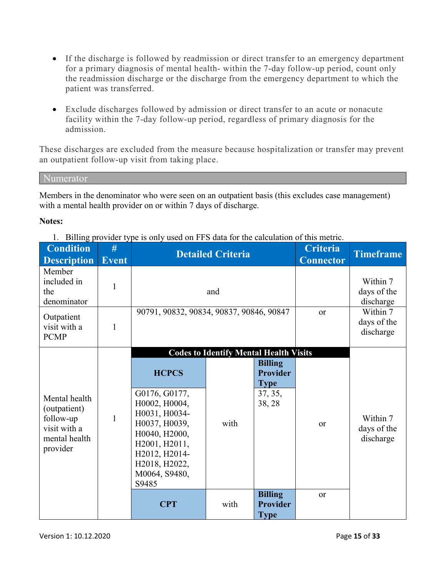- If the discharge is followed by readmission or direct transfer to an emergency department for a primary diagnosis of mental health- within the 7-day follow-up period, count only the readmission discharge or the discharge from the emergency department to which the patient was transferred.
- Exclude discharges followed by admission or direct transfer to an acute or nonacute facility within the 7-day follow-up period, regardless of primary diagnosis for the admission.

These discharges are excluded from the measure because hospitalization or transfer may prevent an outpatient follow-up visit from taking place.

Numerator

Members in the denominator who were seen on an outpatient basis (this excludes case management) with a mental health provider on or within 7 days of discharge.

#### **Notes:**

1. Billing provider type is only used on FFS data for the calculation of this metric.

| <b>Condition</b><br><b>Description</b>                                                  | #<br><b>Event</b> |                                                                                                                                                                                | <b>Detailed Criteria</b>                              |                                                                                         | <b>Criteria</b><br><b>Connector</b>  | <b>Timeframe</b>                     |
|-----------------------------------------------------------------------------------------|-------------------|--------------------------------------------------------------------------------------------------------------------------------------------------------------------------------|-------------------------------------------------------|-----------------------------------------------------------------------------------------|--------------------------------------|--------------------------------------|
| Member<br>included in<br>the<br>denominator                                             | 1                 |                                                                                                                                                                                | and                                                   |                                                                                         | Within 7<br>days of the<br>discharge |                                      |
| Outpatient<br>visit with a<br><b>PCMP</b>                                               | 1                 | 90791, 90832, 90834, 90837, 90846, 90847                                                                                                                                       |                                                       | <sub>or</sub>                                                                           | Within 7<br>days of the<br>discharge |                                      |
| Mental health<br>(outpatient)<br>follow-up<br>visit with a<br>mental health<br>provider | $\mathbf{1}$      | <b>HCPCS</b><br>G0176, G0177,<br>H0002, H0004,<br>H0031, H0034-<br>H0037, H0039,<br>H0040, H2000,<br>H2001, H2011,<br>H2012, H2014-<br>H2018, H2022,<br>M0064, S9480,<br>S9485 | <b>Codes to Identify Mental Health Visits</b><br>with | <b>Billing</b><br><b>Provider</b><br><b>Type</b><br>37, 35,<br>38, 28<br><b>Billing</b> | or<br><b>or</b>                      | Within 7<br>days of the<br>discharge |
|                                                                                         |                   | <b>CPT</b>                                                                                                                                                                     | with                                                  | <b>Provider</b><br><b>Type</b>                                                          |                                      |                                      |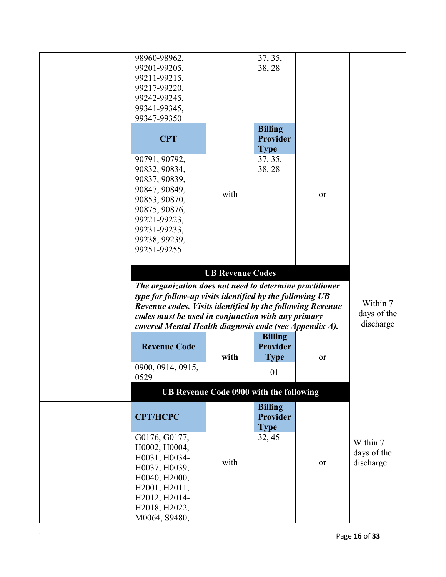| 98960-98962,                                              |                                         | 37, 35,         |    |             |
|-----------------------------------------------------------|-----------------------------------------|-----------------|----|-------------|
| 99201-99205,                                              |                                         | 38, 28          |    |             |
| 99211-99215,                                              |                                         |                 |    |             |
|                                                           |                                         |                 |    |             |
| 99217-99220,                                              |                                         |                 |    |             |
| 99242-99245,                                              |                                         |                 |    |             |
| 99341-99345,                                              |                                         |                 |    |             |
| 99347-99350                                               |                                         |                 |    |             |
|                                                           |                                         | <b>Billing</b>  |    |             |
| <b>CPT</b>                                                |                                         | <b>Provider</b> |    |             |
|                                                           |                                         | <b>Type</b>     |    |             |
|                                                           |                                         |                 |    |             |
| 90791, 90792,                                             |                                         | 37, 35,         |    |             |
| 90832, 90834,                                             |                                         | 38, 28          |    |             |
| 90837, 90839,                                             |                                         |                 |    |             |
| 90847, 90849,                                             | with                                    |                 |    |             |
| 90853, 90870,                                             |                                         |                 | or |             |
| 90875, 90876,                                             |                                         |                 |    |             |
| 99221-99223,                                              |                                         |                 |    |             |
| 99231-99233,                                              |                                         |                 |    |             |
|                                                           |                                         |                 |    |             |
| 99238, 99239,                                             |                                         |                 |    |             |
| 99251-99255                                               |                                         |                 |    |             |
|                                                           |                                         |                 |    |             |
|                                                           | <b>UB Revenue Codes</b>                 |                 |    |             |
| The organization does not need to determine practitioner  |                                         |                 |    |             |
| type for follow-up visits identified by the following UB  |                                         |                 |    |             |
| Revenue codes. Visits identified by the following Revenue |                                         |                 |    | Within 7    |
| codes must be used in conjunction with any primary        |                                         |                 |    | days of the |
| covered Mental Health diagnosis code (see Appendix A).    |                                         |                 |    | discharge   |
|                                                           |                                         | <b>Billing</b>  |    |             |
|                                                           |                                         |                 |    |             |
| <b>Revenue Code</b>                                       |                                         | Provider        |    |             |
|                                                           | with                                    | <b>Type</b>     | or |             |
| 0900, 0914, 0915,                                         |                                         | 01              |    |             |
| 0529                                                      |                                         |                 |    |             |
|                                                           | UB Revenue Code 0900 with the following |                 |    |             |
|                                                           |                                         | <b>Billing</b>  |    |             |
| <b>CPT/HCPC</b>                                           |                                         | <b>Provider</b> |    |             |
|                                                           |                                         |                 |    |             |
|                                                           |                                         | <b>Type</b>     |    |             |
| G0176, G0177,                                             |                                         | 32, 45          |    | Within 7    |
| H0002, H0004,                                             |                                         |                 |    | days of the |
| H0031, H0034-                                             |                                         |                 |    |             |
| H0037, H0039,                                             | with                                    |                 | or | discharge   |
| H0040, H2000,                                             |                                         |                 |    |             |
| H2001, H2011,                                             |                                         |                 |    |             |
| H2012, H2014-                                             |                                         |                 |    |             |
|                                                           |                                         |                 |    |             |
| H2018, H2022,                                             |                                         |                 |    |             |
| M0064, S9480,                                             |                                         |                 |    |             |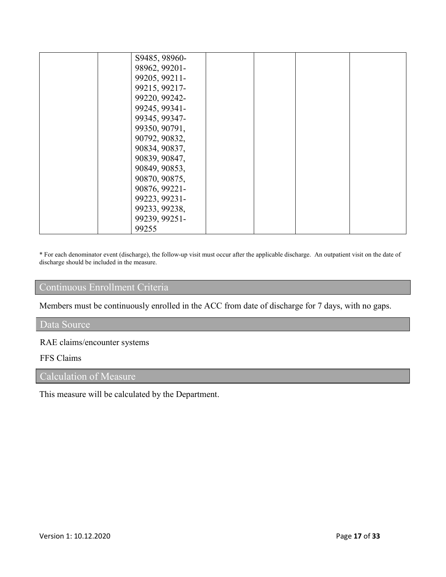| S9485, 98960- |  |  |
|---------------|--|--|
|               |  |  |
| 98962, 99201- |  |  |
| 99205, 99211- |  |  |
| 99215, 99217- |  |  |
| 99220, 99242- |  |  |
| 99245, 99341- |  |  |
| 99345, 99347- |  |  |
| 99350, 90791, |  |  |
| 90792, 90832, |  |  |
| 90834, 90837, |  |  |
| 90839, 90847, |  |  |
| 90849, 90853, |  |  |
| 90870, 90875, |  |  |
| 90876, 99221- |  |  |
| 99223, 99231- |  |  |
| 99233, 99238, |  |  |
| 99239, 99251- |  |  |
| 99255         |  |  |

\* For each denominator event (discharge), the follow-up visit must occur after the applicable discharge. An outpatient visit on the date of discharge should be included in the measure.

## Continuous Enrollment Criteria

Members must be continuously enrolled in the ACC from date of discharge for 7 days, with no gaps.

#### Data Source

### RAE claims/encounter systems

#### FFS Claims

# Calculation of Measure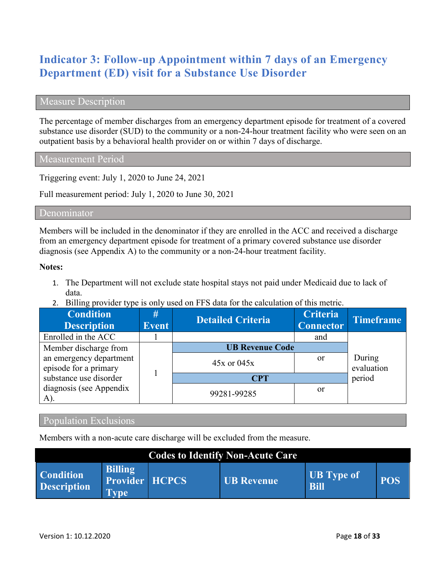# **Indicator 3: Follow-up Appointment within 7 days of an Emergency Department (ED) visit for a Substance Use Disorder**

#### Measure Description

The percentage of member discharges from an emergency department episode for treatment of a covered substance use disorder (SUD) to the community or a non-24-hour treatment facility who were seen on an outpatient basis by a behavioral health provider on or within 7 days of discharge.

Measurement Period

Triggering event: July 1, 2020 to June 24, 2021

Full measurement period: July 1, 2020 to June 30, 2021

#### Denominator

Members will be included in the denominator if they are enrolled in the ACC and received a discharge from an emergency department episode for treatment of a primary covered substance use disorder diagnosis (see Appendix A) to the community or a non-24-hour treatment facility.

#### **Notes:**

- 1. The Department will not exclude state hospital stays not paid under Medicaid due to lack of data.
- 2. Billing provider type is only used on FFS data for the calculation of this metric.

| <b>Condition</b><br><b>Description</b>           | #<br><b>Event</b> | <b>Detailed Criteria</b> | <b>Criteria</b><br><b>Connector</b> | <b>Timeframe</b>     |
|--------------------------------------------------|-------------------|--------------------------|-------------------------------------|----------------------|
| Enrolled in the ACC                              |                   |                          | and                                 |                      |
| Member discharge from                            |                   | <b>UB Revenue Code</b>   |                                     |                      |
| an emergency department<br>episode for a primary |                   | $45x$ or $045x$          | <sub>or</sub>                       | During<br>evaluation |
| substance use disorder                           |                   | <b>CPT</b>               |                                     | period               |
| diagnosis (see Appendix<br>A).                   |                   | 99281-99285              | <sub>or</sub>                       |                      |

#### Population Exclusions

Members with a non-acute care discharge will be excluded from the measure.

|                                        |                                                 | <b>Codes to Identify Non-Acute Care</b> |                                  |            |
|----------------------------------------|-------------------------------------------------|-----------------------------------------|----------------------------------|------------|
| <b>Condition</b><br><b>Description</b> | <b>Billing</b><br>Provider HCPCS<br><b>Type</b> | <b>UB</b> Revenue                       | <b>UB</b> Type of<br><b>Bill</b> | <b>POS</b> |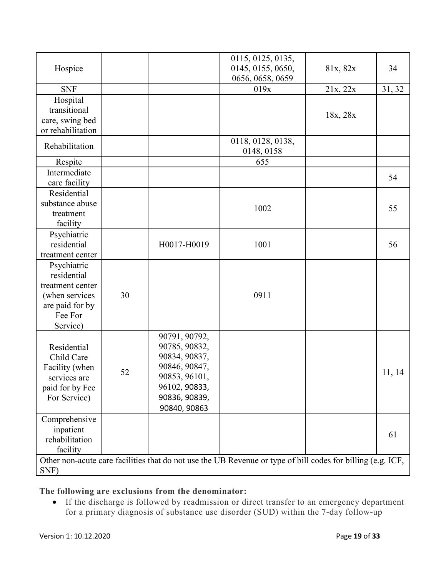| Hospice                                                                                                    |    |                                                                                                                                     | 0115, 0125, 0135,<br>0145, 0155, 0650,<br>0656, 0658, 0659                                                  | 81x, 82x | 34     |
|------------------------------------------------------------------------------------------------------------|----|-------------------------------------------------------------------------------------------------------------------------------------|-------------------------------------------------------------------------------------------------------------|----------|--------|
| <b>SNF</b>                                                                                                 |    |                                                                                                                                     | 019x                                                                                                        | 21x, 22x | 31, 32 |
| Hospital<br>transitional<br>care, swing bed<br>or rehabilitation                                           |    |                                                                                                                                     |                                                                                                             | 18x, 28x |        |
| Rehabilitation                                                                                             |    |                                                                                                                                     | 0118, 0128, 0138,<br>0148, 0158                                                                             |          |        |
| Respite                                                                                                    |    |                                                                                                                                     | 655                                                                                                         |          |        |
| Intermediate<br>care facility                                                                              |    |                                                                                                                                     |                                                                                                             |          | 54     |
| Residential<br>substance abuse<br>treatment<br>facility                                                    |    |                                                                                                                                     | 1002                                                                                                        |          | 55     |
| Psychiatric<br>residential<br>treatment center                                                             |    | H0017-H0019                                                                                                                         | 1001                                                                                                        |          | 56     |
| Psychiatric<br>residential<br>treatment center<br>(when services<br>are paid for by<br>Fee For<br>Service) | 30 |                                                                                                                                     | 0911                                                                                                        |          |        |
| Residential<br>Child Care<br>Facility (when<br>services are<br>paid for by Fee<br>For Service)             | 52 | 90791, 90792,<br>90785, 90832,<br>90834, 90837,<br>90846, 90847,<br>90853, 96101,<br>96102, 90833,<br>90836, 90839,<br>90840, 90863 |                                                                                                             |          | 11, 14 |
| Comprehensive<br>inpatient<br>rehabilitation<br>facility                                                   |    |                                                                                                                                     |                                                                                                             |          | 61     |
| SNF)                                                                                                       |    |                                                                                                                                     | Other non-acute care facilities that do not use the UB Revenue or type of bill codes for billing (e.g. ICF, |          |        |

**The following are exclusions from the denominator:**

• If the discharge is followed by readmission or direct transfer to an emergency department for a primary diagnosis of substance use disorder (SUD) within the 7-day follow-up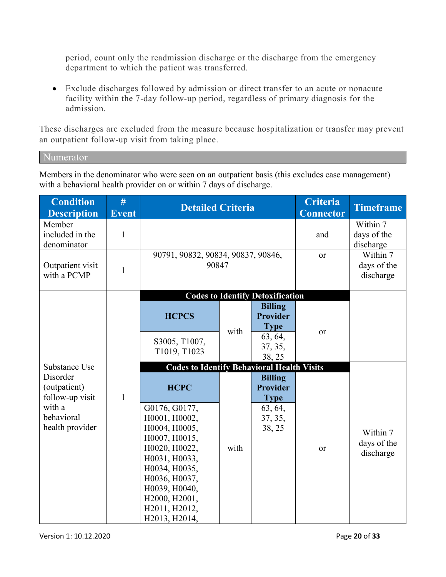period, count only the readmission discharge or the discharge from the emergency department to which the patient was transferred.

• Exclude discharges followed by admission or direct transfer to an acute or nonacute facility within the 7-day follow-up period, regardless of primary diagnosis for the admission.

These discharges are excluded from the measure because hospitalization or transfer may prevent an outpatient follow-up visit from taking place.

Numerator

Members in the denominator who were seen on an outpatient basis (this excludes case management) with a behavioral health provider on or within 7 days of discharge.

| <b>Condition</b><br><b>Description</b>      | #<br><b>Event</b> | <b>Detailed Criteria</b>                          |      |                                                  | <b>Criteria</b><br><b>Connector</b>  | <b>Timeframe</b>                     |
|---------------------------------------------|-------------------|---------------------------------------------------|------|--------------------------------------------------|--------------------------------------|--------------------------------------|
| Member<br>included in the<br>denominator    | $\mathbf{1}$      |                                                   |      |                                                  | and                                  | Within 7<br>days of the<br>discharge |
| Outpatient visit<br>with a PCMP             | $\mathbf{1}$      | 90791, 90832, 90834, 90837, 90846,<br>90847       |      | or                                               | Within 7<br>days of the<br>discharge |                                      |
|                                             |                   |                                                   |      | <b>Codes to Identify Detoxification</b>          |                                      |                                      |
|                                             |                   | <b>HCPCS</b>                                      | with | <b>Billing</b><br><b>Provider</b><br><b>Type</b> |                                      |                                      |
|                                             |                   | S3005, T1007,<br>T1019, T1023                     |      | 63, 64,<br>37, 35,<br>38, 25                     | or                                   |                                      |
| Substance Use                               |                   | <b>Codes to Identify Behavioral Health Visits</b> |      |                                                  |                                      |                                      |
| Disorder<br>(outpatient)<br>follow-up visit | $\mathbf{1}$      | <b>HCPC</b>                                       |      | <b>Billing</b><br><b>Provider</b><br><b>Type</b> |                                      |                                      |
| with a<br>behavioral                        |                   | G0176, G0177,<br>H0001, H0002,                    |      | 63, 64,<br>37, 35,                               |                                      |                                      |
| health provider                             |                   | H0004, H0005,                                     |      | 38, 25                                           |                                      |                                      |
|                                             |                   | H0007, H0015,                                     |      |                                                  |                                      | Within 7<br>days of the              |
|                                             |                   | H0020, H0022,<br>H0031, H0033,                    | with |                                                  | <b>or</b>                            | discharge                            |
|                                             |                   | H0034, H0035,                                     |      |                                                  |                                      |                                      |
|                                             |                   | H0036, H0037,                                     |      |                                                  |                                      |                                      |
|                                             |                   | H0039, H0040,                                     |      |                                                  |                                      |                                      |
|                                             |                   | H2000, H2001,                                     |      |                                                  |                                      |                                      |
|                                             |                   | H2011, H2012,<br>H2013, H2014,                    |      |                                                  |                                      |                                      |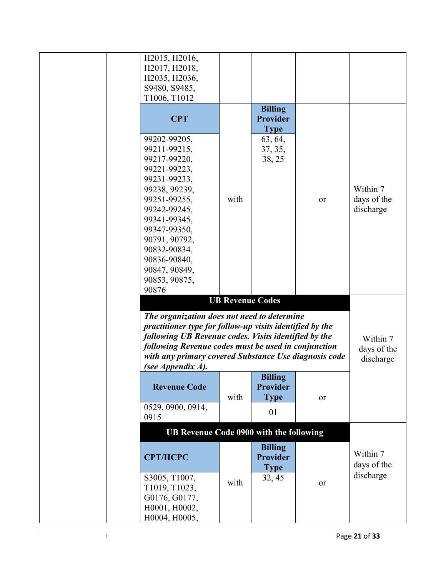|       | H2015, H2016,<br>H2017, H2018,<br>H2035, H2036,                                                                  |                         |                                |    |                         |
|-------|------------------------------------------------------------------------------------------------------------------|-------------------------|--------------------------------|----|-------------------------|
|       | S9480, S9485,<br>T1006, T1012                                                                                    |                         |                                |    |                         |
|       |                                                                                                                  |                         | <b>Billing</b>                 |    |                         |
|       | <b>CPT</b>                                                                                                       |                         | <b>Provider</b><br><b>Type</b> |    |                         |
|       | 99202-99205,<br>99211-99215,                                                                                     |                         | 63, 64,                        |    |                         |
|       | 99217-99220,                                                                                                     |                         | 37, 35,<br>38, 25              |    |                         |
|       | 99221-99223,                                                                                                     |                         |                                |    |                         |
|       | 99231-99233,<br>99238, 99239,                                                                                    |                         |                                |    | Within 7                |
|       | 99251-99255,                                                                                                     | with                    |                                | or | days of the             |
|       | 99242-99245,<br>99341-99345,                                                                                     |                         |                                |    | discharge               |
|       | 99347-99350,                                                                                                     |                         |                                |    |                         |
|       | 90791, 90792,                                                                                                    |                         |                                |    |                         |
|       | 90832-90834,                                                                                                     |                         |                                |    |                         |
|       | 90836-90840,<br>90847, 90849,                                                                                    |                         |                                |    |                         |
|       | 90853, 90875,                                                                                                    |                         |                                |    |                         |
| 90876 |                                                                                                                  |                         |                                |    |                         |
|       |                                                                                                                  | <b>UB Revenue Codes</b> |                                |    |                         |
|       | The organization does not need to determine                                                                      |                         |                                |    |                         |
|       | practitioner type for follow-up visits identified by the<br>following UB Revenue codes. Visits identified by the |                         |                                |    |                         |
|       | following Revenue codes must be used in conjunction                                                              |                         |                                |    | Within 7<br>days of the |
|       | with any primary covered Substance Use diagnosis code                                                            |                         |                                |    | discharge               |
|       | (see Appendix A).                                                                                                |                         |                                |    |                         |
|       | <b>Revenue Code</b>                                                                                              |                         | <b>Billing</b><br>Provider     |    |                         |
|       |                                                                                                                  | with                    | <b>Type</b>                    | or |                         |
| 0915  | 0529, 0900, 0914,                                                                                                |                         | 01                             |    |                         |
|       | UB Revenue Code 0900 with the following                                                                          |                         |                                |    |                         |
|       | <b>CPT/HCPC</b>                                                                                                  |                         | <b>Billing</b><br>Provider     |    | Within 7                |
|       |                                                                                                                  |                         | <b>Type</b>                    |    | days of the             |
|       | S3005, T1007,                                                                                                    | with                    | 32, 45                         | or | discharge               |
|       | T1019, T1023,<br>G0176, G0177,                                                                                   |                         |                                |    |                         |
|       | H0001, H0002,                                                                                                    |                         |                                |    |                         |
|       | H0004, H0005,                                                                                                    |                         |                                |    |                         |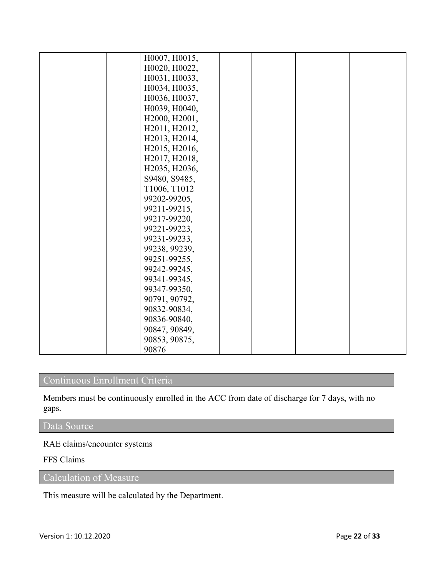| H0007, H0015, |  |  |
|---------------|--|--|
| H0020, H0022, |  |  |
| H0031, H0033, |  |  |
| H0034, H0035, |  |  |
| H0036, H0037, |  |  |
| H0039, H0040, |  |  |
| H2000, H2001, |  |  |
| H2011, H2012, |  |  |
| H2013, H2014, |  |  |
| H2015, H2016, |  |  |
| H2017, H2018, |  |  |
| H2035, H2036, |  |  |
| S9480, S9485, |  |  |
| T1006, T1012  |  |  |
| 99202-99205,  |  |  |
| 99211-99215,  |  |  |
| 99217-99220,  |  |  |
| 99221-99223,  |  |  |
| 99231-99233,  |  |  |
| 99238, 99239, |  |  |
| 99251-99255,  |  |  |
| 99242-99245,  |  |  |
| 99341-99345,  |  |  |
| 99347-99350,  |  |  |
| 90791, 90792, |  |  |
| 90832-90834,  |  |  |
| 90836-90840,  |  |  |
| 90847, 90849, |  |  |
| 90853, 90875, |  |  |
| 90876         |  |  |

## Continuous Enrollment Criteria

Members must be continuously enrolled in the ACC from date of discharge for 7 days, with no gaps.

## Data Source

RAE claims/encounter systems

#### FFS Claims

Calculation of Measure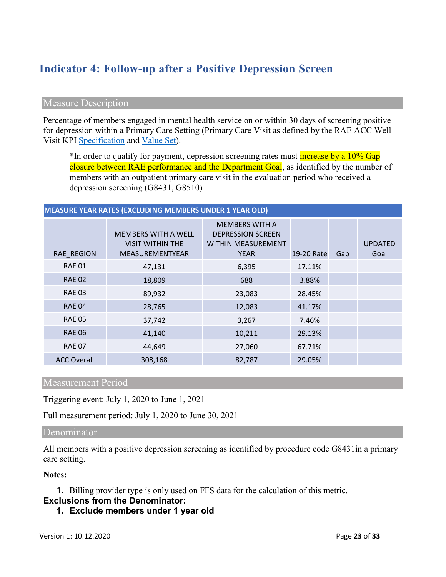# **Indicator 4: Follow-up after a Positive Depression Screen**

#### Measure Description

Percentage of members engaged in mental health service on or within 30 days of screening positive for depression within a Primary Care Setting (Primary Care Visit as defined by the RAE ACC Well Visit KPI [Specification](https://www.colorado.gov/pacific/sites/default/files/Key%20Performance%20Indicator%20Methodology%20Updated%20May%202019.pdf) and [Value Set\)](https://www.colorado.gov/pacific/sites/default/files/ACC%20KPI%20Code%20Value%20Sets%20Updated%20May%202019.xlsx).

<sup>\*</sup>In order to qualify for payment, depression screening rates must **increase by a 10% Gap** closure between RAE performance and the Department Goal, as identified by the number of members with an outpatient primary care visit in the evaluation period who received a depression screening (G8431, G8510)

#### **MEASURE YEAR RATES (EXCLUDING MEMBERS UNDER 1 YEAR OLD)**

| RAE_REGION         | <b>MEMBERS WITH A WELL</b><br><b>VISIT WITHIN THE</b><br>MEASUREMENTYEAR | <b>MEMBERS WITH A</b><br><b>DEPRESSION SCREEN</b><br><b>WITHIN MEASUREMENT</b><br><b>YEAR</b> | 19-20 Rate | Gap | <b>UPDATED</b><br>Goal |
|--------------------|--------------------------------------------------------------------------|-----------------------------------------------------------------------------------------------|------------|-----|------------------------|
| <b>RAE 01</b>      | 47,131                                                                   | 6,395                                                                                         | 17.11%     |     |                        |
| <b>RAE 02</b>      | 18,809                                                                   | 688                                                                                           | 3.88%      |     |                        |
| <b>RAE 03</b>      | 89,932                                                                   | 23,083                                                                                        | 28.45%     |     |                        |
| <b>RAE 04</b>      | 28,765                                                                   | 12,083                                                                                        | 41.17%     |     |                        |
| <b>RAE 05</b>      | 37,742                                                                   | 3,267                                                                                         | 7.46%      |     |                        |
| <b>RAE 06</b>      | 41,140                                                                   | 10,211                                                                                        | 29.13%     |     |                        |
| <b>RAE 07</b>      | 44,649                                                                   | 27,060                                                                                        | 67.71%     |     |                        |
| <b>ACC Overall</b> | 308,168                                                                  | 82,787                                                                                        | 29.05%     |     |                        |

#### Measurement Period

Triggering event: July 1, 2020 to June 1, 2021

Full measurement period: July 1, 2020 to June 30, 2021

#### Denominator

All members with a positive depression screening as identified by procedure code G8431in a primary care setting.

#### **Notes:**

1. Billing provider type is only used on FFS data for the calculation of this metric.

#### **Exclusions from the Denominator:**

**1. Exclude members under 1 year old**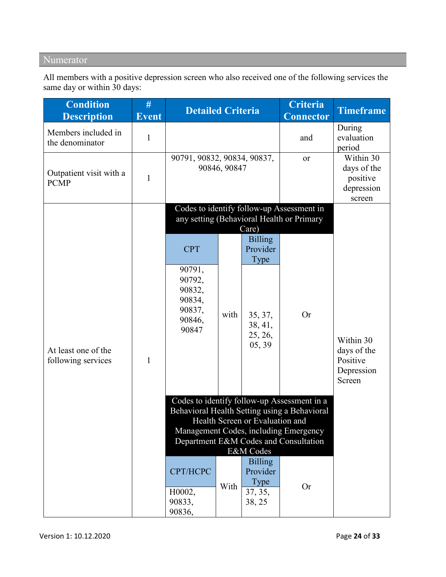# Numerator

All members with a positive depression screen who also received one of the following services the same day or within 30 days:

|              |                                                                                 |        | <b>Detailed Criteria</b>                                                      | <b>Criteria</b><br><b>Connector</b>                                   | <b>Timeframe</b>                                                                                                                                                                                                                                                                                           |
|--------------|---------------------------------------------------------------------------------|--------|-------------------------------------------------------------------------------|-----------------------------------------------------------------------|------------------------------------------------------------------------------------------------------------------------------------------------------------------------------------------------------------------------------------------------------------------------------------------------------------|
| $\mathbf{1}$ |                                                                                 |        |                                                                               | and                                                                   | During<br>evaluation<br>period                                                                                                                                                                                                                                                                             |
| $\mathbf{1}$ | 90846, 90847                                                                    |        |                                                                               | or                                                                    | Within 30<br>days of the<br>positive<br>depression<br>screen                                                                                                                                                                                                                                               |
|              |                                                                                 |        |                                                                               |                                                                       |                                                                                                                                                                                                                                                                                                            |
| 1            | <b>CPT</b><br>90791,<br>90792,<br>90832,<br>90834,<br>90837,<br>90846,<br>90847 | with   | <b>Billing</b><br>Provider<br>Type<br>35, 37,<br>38, 41,<br>25, 26,<br>05, 39 | <b>Or</b>                                                             | Within 30<br>days of the<br>Positive<br>Depression<br>Screen                                                                                                                                                                                                                                               |
|              | CPT/HCPC<br>H0002,                                                              | With   | <b>Billing</b><br>Provider<br>Type<br>37, 35,                                 | <b>Or</b>                                                             |                                                                                                                                                                                                                                                                                                            |
|              |                                                                                 | 90833, |                                                                               | 90791, 90832, 90834, 90837,<br>Care)<br>E&M Codes<br>38, 25<br>90836, | Codes to identify follow-up Assessment in<br>any setting (Behavioral Health or Primary<br>Codes to identify follow-up Assessment in a<br>Behavioral Health Setting using a Behavioral<br>Health Screen or Evaluation and<br>Management Codes, including Emergency<br>Department E&M Codes and Consultation |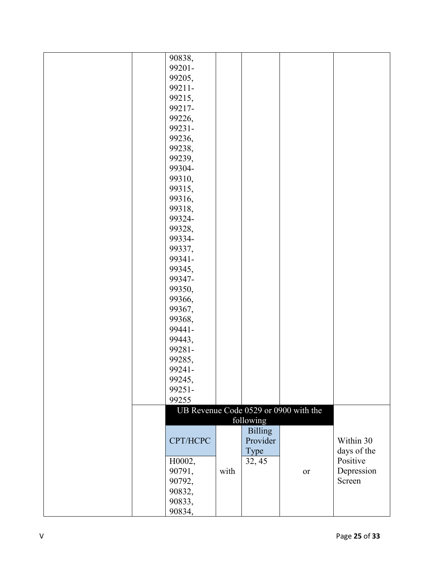| 90838,   |      |                |                                       |             |
|----------|------|----------------|---------------------------------------|-------------|
| 99201-   |      |                |                                       |             |
| 99205,   |      |                |                                       |             |
| 99211-   |      |                |                                       |             |
| 99215,   |      |                |                                       |             |
| 99217-   |      |                |                                       |             |
| 99226,   |      |                |                                       |             |
| 99231-   |      |                |                                       |             |
| 99236,   |      |                |                                       |             |
| 99238,   |      |                |                                       |             |
| 99239,   |      |                |                                       |             |
| 99304-   |      |                |                                       |             |
| 99310,   |      |                |                                       |             |
| 99315,   |      |                |                                       |             |
| 99316,   |      |                |                                       |             |
| 99318,   |      |                |                                       |             |
| 99324-   |      |                |                                       |             |
| 99328,   |      |                |                                       |             |
| 99334-   |      |                |                                       |             |
| 99337,   |      |                |                                       |             |
| 99341-   |      |                |                                       |             |
| 99345,   |      |                |                                       |             |
| 99347-   |      |                |                                       |             |
| 99350,   |      |                |                                       |             |
| 99366,   |      |                |                                       |             |
| 99367,   |      |                |                                       |             |
| 99368,   |      |                |                                       |             |
| 99441-   |      |                |                                       |             |
| 99443,   |      |                |                                       |             |
| 99281-   |      |                |                                       |             |
| 99285,   |      |                |                                       |             |
| 99241-   |      |                |                                       |             |
| 99245,   |      |                |                                       |             |
| 99251-   |      |                |                                       |             |
| 99255    |      |                |                                       |             |
|          |      |                | UB Revenue Code 0529 or 0900 with the |             |
|          |      | following      |                                       |             |
|          |      | <b>Billing</b> |                                       |             |
| CPT/HCPC |      | Provider       |                                       | Within 30   |
|          |      | Type           |                                       | days of the |
| H0002,   |      | 32, 45         |                                       | Positive    |
| 90791,   | with |                | <b>or</b>                             | Depression  |
| 90792,   |      |                |                                       | Screen      |
| 90832,   |      |                |                                       |             |
| 90833,   |      |                |                                       |             |
| 90834,   |      |                |                                       |             |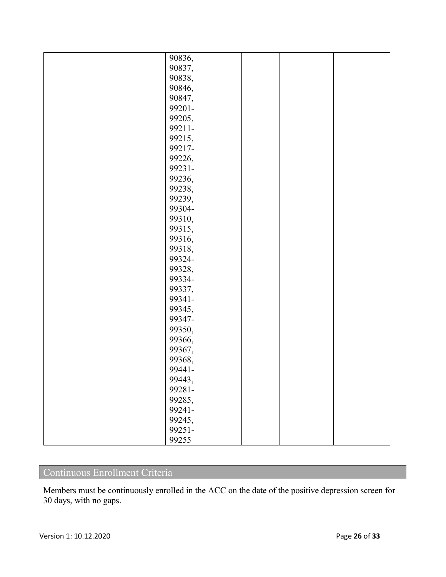| 90836,<br>90837,<br>90838,<br>90846,<br>90847,<br>99201- |
|----------------------------------------------------------|
|                                                          |
|                                                          |
|                                                          |
|                                                          |
|                                                          |
|                                                          |
| 99205,                                                   |
| 99211-                                                   |
| 99215,                                                   |
| 99217-                                                   |
| 99226,                                                   |
| 99231-                                                   |
| 99236,                                                   |
| 99238,                                                   |
| 99239,                                                   |
| 99304-                                                   |
| 99310,                                                   |
| 99315,                                                   |
| 99316,                                                   |
| 99318,                                                   |
| 99324-                                                   |
| 99328,                                                   |
| 99334-                                                   |
| 99337,                                                   |
| 99341-                                                   |
| 99345,                                                   |
| 99347-                                                   |
| 99350,                                                   |
| 99366,                                                   |
| 99367,                                                   |
| 99368,                                                   |
| 99441-                                                   |
| 99443,                                                   |
| 99281-                                                   |
| 99285,                                                   |
| 99241-                                                   |
| 99245,                                                   |
| 99251-                                                   |
| 99255                                                    |

# Continuous Enrollment Criteria

Members must be continuously enrolled in the ACC on the date of the positive depression screen for 30 days, with no gaps.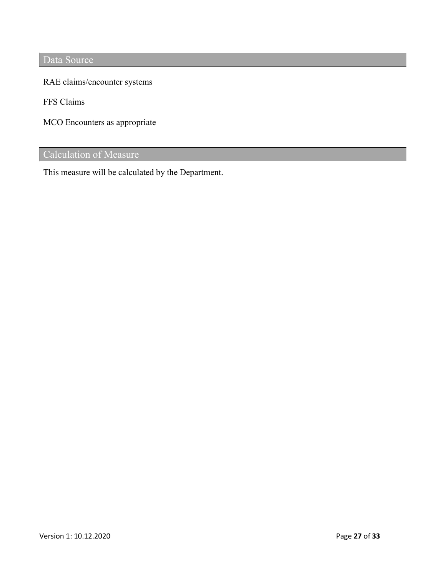Data Source

RAE claims/encounter systems

FFS Claims

MCO Encounters as appropriate

## Calculation of Measure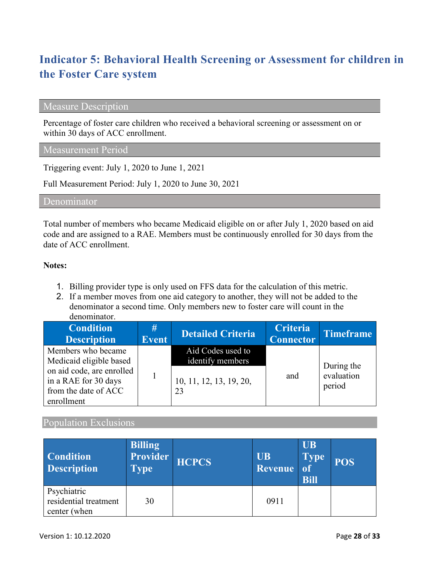# **Indicator 5: Behavioral Health Screening or Assessment for children in the Foster Care system**

### Measure Description

Percentage of foster care children who received a behavioral screening or assessment on or within 30 days of ACC enrollment.

#### Measurement Period

Triggering event: July 1, 2020 to June 1, 2021

Full Measurement Period: July 1, 2020 to June 30, 2021

Denominator

Total number of members who became Medicaid eligible on or after July 1, 2020 based on aid code and are assigned to a RAE. Members must be continuously enrolled for 30 days from the date of ACC enrollment.

#### **Notes:**

- 1. Billing provider type is only used on FFS data for the calculation of this metric.
- 2. If a member moves from one aid category to another, they will not be added to the denominator a second time. Only members new to foster care will count in the denominator.

| <b>Condition</b><br><b>Description</b>                                                  | #<br><b>Event</b> | <b>Detailed Criteria</b>              | <b>Criteria</b><br><b>Connector</b> | Timeframe                          |
|-----------------------------------------------------------------------------------------|-------------------|---------------------------------------|-------------------------------------|------------------------------------|
| Members who became<br>Medicaid eligible based                                           |                   | Aid Codes used to<br>identify members |                                     |                                    |
| on aid code, are enrolled<br>in a RAE for 30 days<br>from the date of ACC<br>enrollment |                   | 10, 11, 12, 13, 19, 20,<br>23         | and                                 | During the<br>evaluation<br>period |

#### Population Exclusions

| <b>Condition</b><br><b>Description</b>               | <b>Billing</b><br>Provider<br><b>Type</b> | <b>HCPCS</b> | <b>UB</b><br>Revenue | <b>UB</b><br><b>Type</b><br><sub>of</sub><br><b>Bill</b> | <b>POS</b> |
|------------------------------------------------------|-------------------------------------------|--------------|----------------------|----------------------------------------------------------|------------|
| Psychiatric<br>residential treatment<br>center (when | 30                                        |              | 0911                 |                                                          |            |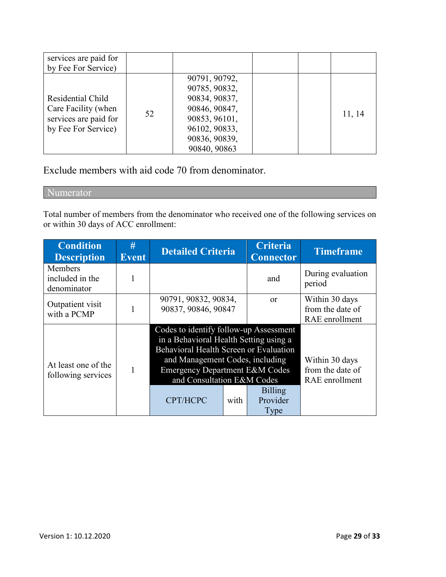| services are paid for<br>by Fee For Service)                                             |    |                                                                                                                                     |  |        |
|------------------------------------------------------------------------------------------|----|-------------------------------------------------------------------------------------------------------------------------------------|--|--------|
| Residential Child<br>Care Facility (when<br>services are paid for<br>by Fee For Service) | 52 | 90791, 90792,<br>90785, 90832,<br>90834, 90837,<br>90846, 90847,<br>90853, 96101,<br>96102, 90833,<br>90836, 90839,<br>90840, 90863 |  | 11, 14 |

Exclude members with aid code 70 from denominator.

Numerator

Total number of members from the denominator who received one of the following services on or within 30 days of ACC enrollment:

| <b>Condition</b><br><b>Description</b>    | #<br><b>Event</b> | <b>Detailed Criteria</b>                                                                                                                                                                                                                             |      | <b>Criteria</b><br><b>Connector</b> | <b>Timeframe</b>                                     |
|-------------------------------------------|-------------------|------------------------------------------------------------------------------------------------------------------------------------------------------------------------------------------------------------------------------------------------------|------|-------------------------------------|------------------------------------------------------|
| Members<br>included in the<br>denominator |                   |                                                                                                                                                                                                                                                      |      | and                                 | During evaluation<br>period                          |
| Outpatient visit<br>with a PCMP           |                   | 90791, 90832, 90834,<br>90837, 90846, 90847                                                                                                                                                                                                          |      | <sub>or</sub>                       | Within 30 days<br>from the date of<br>RAE enrollment |
| At least one of the<br>following services |                   | Codes to identify follow-up Assessment<br>in a Behavioral Health Setting using a<br>Behavioral Health Screen or Evaluation<br>and Management Codes, including<br><b>Emergency Department E&amp;M Codes</b><br>and Consultation E&M Codes<br>CPT/HCPC | with | <b>Billing</b><br>Provider<br>Type  | Within 30 days<br>from the date of<br>RAE enrollment |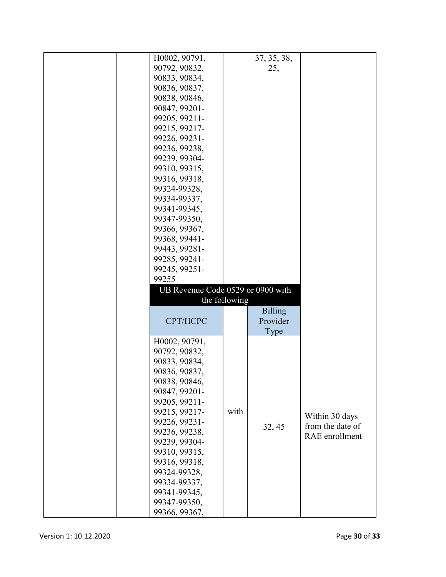| H0002, 90791,                     |               | 37, 35, 38,    |                  |
|-----------------------------------|---------------|----------------|------------------|
|                                   |               |                |                  |
| 90792, 90832,                     |               | 25,            |                  |
| 90833, 90834,                     |               |                |                  |
| 90836, 90837,                     |               |                |                  |
| 90838, 90846,                     |               |                |                  |
| 90847, 99201-                     |               |                |                  |
| 99205, 99211-                     |               |                |                  |
| 99215, 99217-                     |               |                |                  |
| 99226, 99231-                     |               |                |                  |
| 99236, 99238,                     |               |                |                  |
| 99239, 99304-                     |               |                |                  |
| 99310, 99315,                     |               |                |                  |
| 99316, 99318,                     |               |                |                  |
|                                   |               |                |                  |
| 99324-99328,                      |               |                |                  |
| 99334-99337,                      |               |                |                  |
| 99341-99345,                      |               |                |                  |
| 99347-99350,                      |               |                |                  |
| 99366, 99367,                     |               |                |                  |
| 99368, 99441-                     |               |                |                  |
| 99443, 99281-                     |               |                |                  |
| 99285, 99241-                     |               |                |                  |
| 99245, 99251-                     |               |                |                  |
|                                   |               |                |                  |
|                                   |               |                |                  |
| 99255                             |               |                |                  |
| UB Revenue Code 0529 or 0900 with |               |                |                  |
|                                   | the following |                |                  |
|                                   |               | <b>Billing</b> |                  |
| CPT/HCPC                          |               | Provider       |                  |
|                                   |               | Type           |                  |
| H0002, 90791,                     |               |                |                  |
| 90792, 90832,                     |               |                |                  |
| 90833, 90834,                     |               |                |                  |
| 90836, 90837,                     |               |                |                  |
|                                   |               |                |                  |
| 90838, 90846,<br>90847, 99201-    |               |                |                  |
|                                   |               |                |                  |
| 99205, 99211-                     |               |                |                  |
| 99215, 99217-                     | with          |                | Within 30 days   |
| 99226, 99231-                     |               | 32, 45         | from the date of |
| 99236, 99238,                     |               |                | RAE enrollment   |
| 99239, 99304-                     |               |                |                  |
| 99310, 99315,                     |               |                |                  |
| 99316, 99318,                     |               |                |                  |
| 99324-99328,                      |               |                |                  |
| 99334-99337,                      |               |                |                  |
| 99341-99345,                      |               |                |                  |
| 99347-99350,<br>99366, 99367,     |               |                |                  |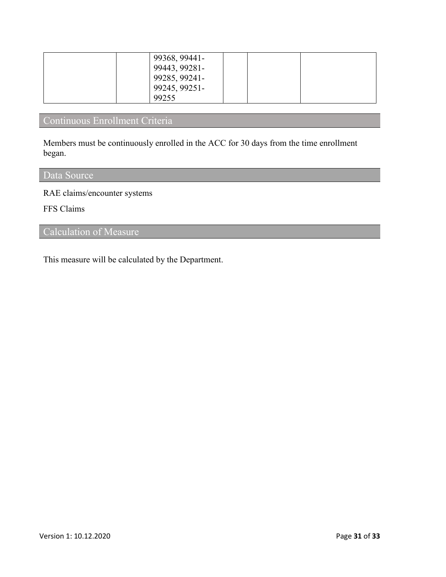| 99368, 99441-                  |  |
|--------------------------------|--|
| 99443, 99281-<br>99285, 99241- |  |
| 99245, 99251-                  |  |
| 99255                          |  |

# Continuous Enrollment Criteria

Members must be continuously enrolled in the ACC for 30 days from the time enrollment began.

# Data Source

RAE claims/encounter systems

FFS Claims

## Calculation of Measure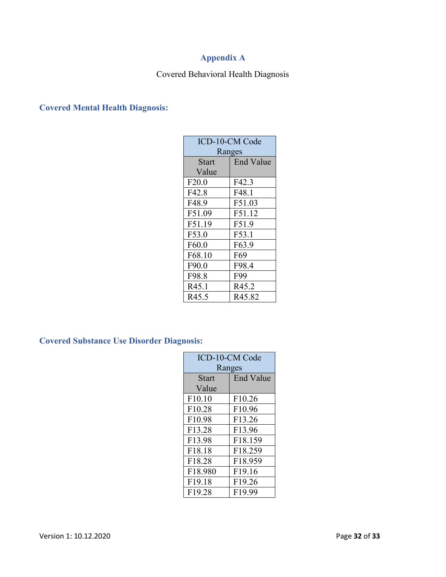# **Appendix A**

## Covered Behavioral Health Diagnosis

### **Covered Mental Health Diagnosis:**

| ICD-10-CM Code |                    |  |  |  |
|----------------|--------------------|--|--|--|
| Ranges         |                    |  |  |  |
| <b>Start</b>   | <b>End Value</b>   |  |  |  |
| Value          |                    |  |  |  |
| F20.0          | F42.3              |  |  |  |
| F42.8          | F48.1              |  |  |  |
| F48.9          | F51.03             |  |  |  |
| F51.09         | F51.12             |  |  |  |
| F51.19         | F51.9              |  |  |  |
| F53.0          | F53.1              |  |  |  |
| F60.0          | F63.9              |  |  |  |
| F68.10         | F <sub>69</sub>    |  |  |  |
| F90.0          | F98.4              |  |  |  |
| F98.8          | F99                |  |  |  |
| R45.1          | R45.2              |  |  |  |
| R45.5          | R <sub>45.82</sub> |  |  |  |

**Covered Substance Use Disorder Diagnosis:**

| <b>ICD-10-CM Code</b> |                  |  |  |  |
|-----------------------|------------------|--|--|--|
| Ranges                |                  |  |  |  |
| <b>Start</b>          | <b>End Value</b> |  |  |  |
| Value                 |                  |  |  |  |
| F10.10                | F10.26           |  |  |  |
| F <sub>10.28</sub>    | F10.96           |  |  |  |
| F10.98                | F13.26           |  |  |  |
| F13.28                | F13.96           |  |  |  |
| F13.98                | F18.159          |  |  |  |
| F18.18                | F18.259          |  |  |  |
| F18.28                | F18.959          |  |  |  |
| F18.980               | F19.16           |  |  |  |
| F19.18                | F19.26           |  |  |  |
| F19.28                | F19.99           |  |  |  |